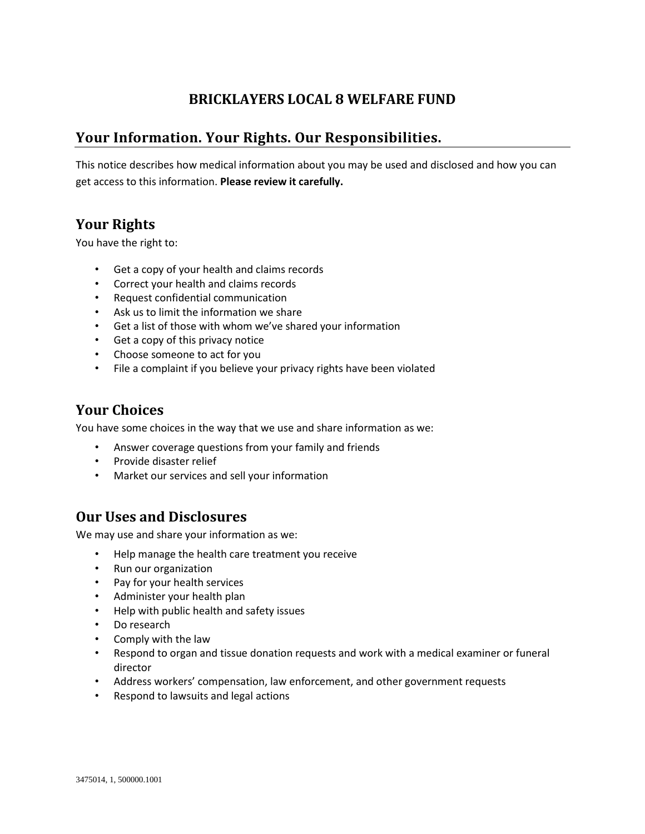# **BRICKLAYERS LOCAL 8 WELFARE FUND**

### **Your Information. Your Rights. Our Responsibilities.**

This notice describes how medical information about you may be used and disclosed and how you can get access to this information. **Please review it carefully.**

# **Your Rights**

You have the right to:

- Get a copy of your health and claims records
- Correct your health and claims records
- Request confidential communication
- Ask us to limit the information we share
- Get a list of those with whom we've shared your information
- Get a copy of this privacy notice
- Choose someone to act for you
- File a complaint if you believe your privacy rights have been violated

### **Your Choices**

You have some choices in the way that we use and share information as we:

- Answer coverage questions from your family and friends
- Provide disaster relief
- Market our services and sell your information

# **Our Uses and Disclosures**

We may use and share your information as we:

- Help manage the health care treatment you receive
- Run our organization
- Pay for your health services
- Administer your health plan
- Help with public health and safety issues
- Do research
- Comply with the law
- Respond to organ and tissue donation requests and work with a medical examiner or funeral director
- Address workers' compensation, law enforcement, and other government requests
- Respond to lawsuits and legal actions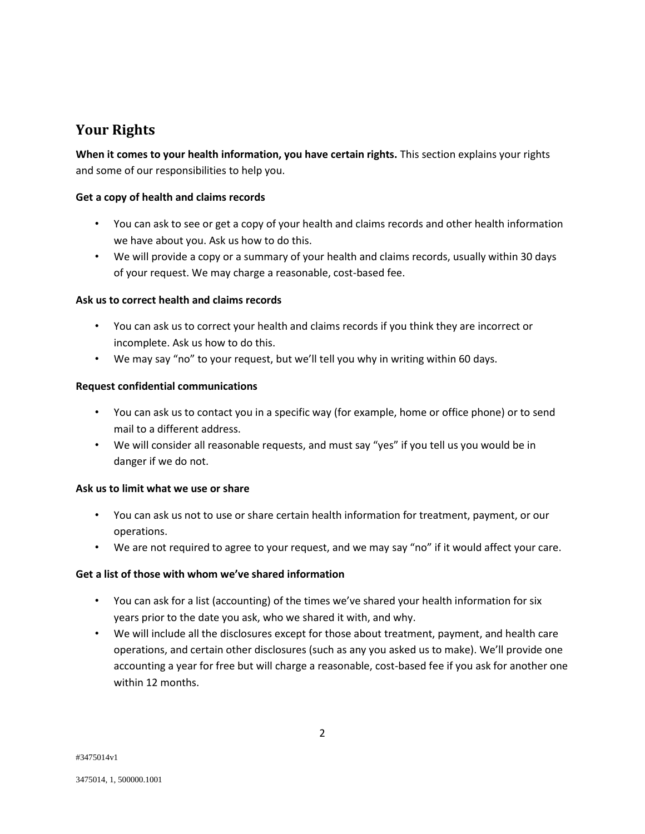# **Your Rights**

**When it comes to your health information, you have certain rights.** This section explains your rights and some of our responsibilities to help you.

### **Get a copy of health and claims records**

- You can ask to see or get a copy of your health and claims records and other health information we have about you. Ask us how to do this.
- We will provide a copy or a summary of your health and claims records, usually within 30 days of your request. We may charge a reasonable, cost-based fee.

#### **Ask us to correct health and claims records**

- You can ask us to correct your health and claims records if you think they are incorrect or incomplete. Ask us how to do this.
- We may say "no" to your request, but we'll tell you why in writing within 60 days.

### **Request confidential communications**

- You can ask us to contact you in a specific way (for example, home or office phone) or to send mail to a different address.
- We will consider all reasonable requests, and must say "yes" if you tell us you would be in danger if we do not.

#### **Ask us to limit what we use or share**

- You can ask us not to use or share certain health information for treatment, payment, or our operations.
- We are not required to agree to your request, and we may say "no" if it would affect your care.

#### **Get a list of those with whom we've shared information**

- You can ask for a list (accounting) of the times we've shared your health information for six years prior to the date you ask, who we shared it with, and why.
- We will include all the disclosures except for those about treatment, payment, and health care operations, and certain other disclosures (such as any you asked us to make). We'll provide one accounting a year for free but will charge a reasonable, cost-based fee if you ask for another one within 12 months.

#3475014v1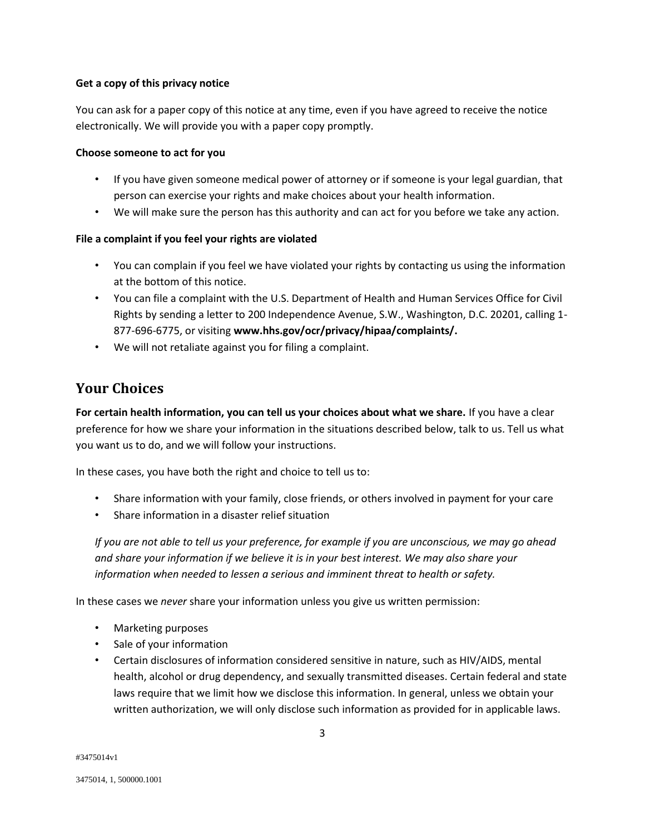#### **Get a copy of this privacy notice**

You can ask for a paper copy of this notice at any time, even if you have agreed to receive the notice electronically. We will provide you with a paper copy promptly.

### **Choose someone to act for you**

- If you have given someone medical power of attorney or if someone is your legal guardian, that person can exercise your rights and make choices about your health information.
- We will make sure the person has this authority and can act for you before we take any action.

### **File a complaint if you feel your rights are violated**

- You can complain if you feel we have violated your rights by contacting us using the information at the bottom of this notice.
- You can file a complaint with the U.S. Department of Health and Human Services Office for Civil Rights by sending a letter to 200 Independence Avenue, S.W., Washington, D.C. 20201, calling 1- 877-696-6775, or visiting **www.hhs.gov/ocr/privacy/hipaa/complaints/.**
- We will not retaliate against you for filing a complaint.

# **Your Choices**

**For certain health information, you can tell us your choices about what we share.** If you have a clear preference for how we share your information in the situations described below, talk to us. Tell us what you want us to do, and we will follow your instructions.

In these cases, you have both the right and choice to tell us to:

- Share information with your family, close friends, or others involved in payment for your care
- Share information in a disaster relief situation

*If you are not able to tell us your preference, for example if you are unconscious, we may go ahead and share your information if we believe it is in your best interest. We may also share your information when needed to lessen a serious and imminent threat to health or safety.*

In these cases we *never* share your information unless you give us written permission:

- Marketing purposes
- Sale of your information
- Certain disclosures of information considered sensitive in nature, such as HIV/AIDS, mental health, alcohol or drug dependency, and sexually transmitted diseases. Certain federal and state laws require that we limit how we disclose this information. In general, unless we obtain your written authorization, we will only disclose such information as provided for in applicable laws.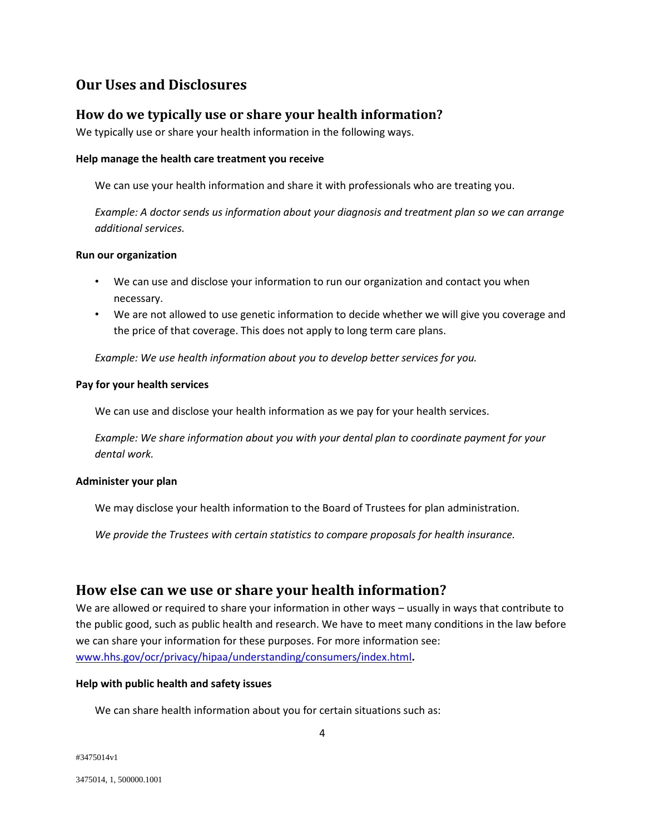### **Our Uses and Disclosures**

### **How do we typically use or share your health information?**

We typically use or share your health information in the following ways.

#### **Help manage the health care treatment you receive**

We can use your health information and share it with professionals who are treating you.

*Example: A doctor sends us information about your diagnosis and treatment plan so we can arrange additional services.*

#### **Run our organization**

- We can use and disclose your information to run our organization and contact you when necessary.
- We are not allowed to use genetic information to decide whether we will give you coverage and the price of that coverage. This does not apply to long term care plans.

*Example: We use health information about you to develop better services for you.*

#### **Pay for your health services**

We can use and disclose your health information as we pay for your health services.

*Example: We share information about you with your dental plan to coordinate payment for your dental work.*

#### **Administer your plan**

We may disclose your health information to the Board of Trustees for plan administration.

*We provide the Trustees with certain statistics to compare proposals for health insurance.*

### **How else can we use or share your health information?**

We are allowed or required to share your information in other ways - usually in ways that contribute to the public good, such as public health and research. We have to meet many conditions in the law before we can share your information for these purposes. For more information see: [www.hhs.gov/ocr/privacy/hipaa/understanding/consumers/index.html](http://www.hhs.gov/ocr/privacy/hipaa/understanding/consumers/index.html)**.**

#### **Help with public health and safety issues**

We can share health information about you for certain situations such as:

#3475014v1

3475014, 1, 500000.1001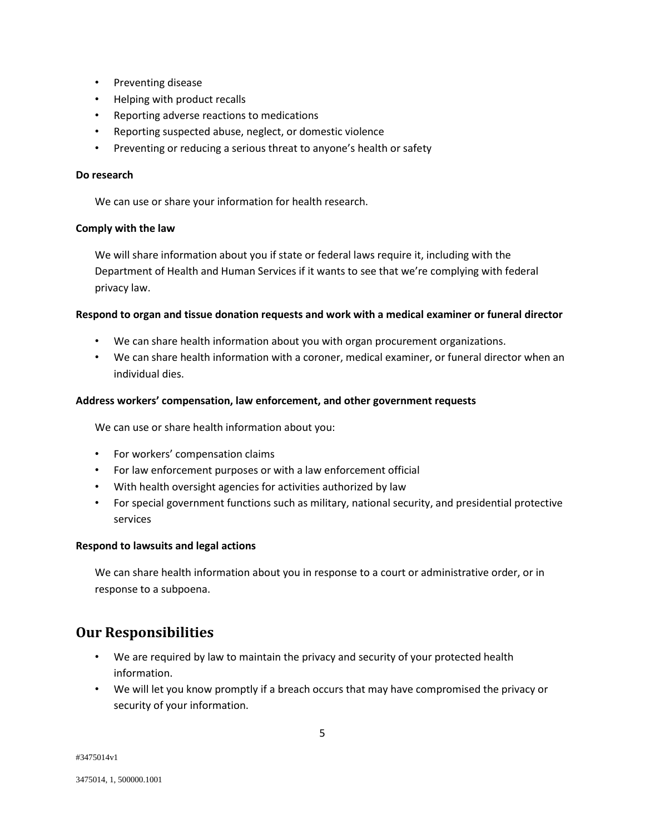- Preventing disease
- Helping with product recalls
- Reporting adverse reactions to medications
- Reporting suspected abuse, neglect, or domestic violence
- Preventing or reducing a serious threat to anyone's health or safety

#### **Do research**

We can use or share your information for health research.

#### **Comply with the law**

We will share information about you if state or federal laws require it, including with the Department of Health and Human Services if it wants to see that we're complying with federal privacy law.

#### **Respond to organ and tissue donation requests and work with a medical examiner or funeral director**

- We can share health information about you with organ procurement organizations.
- We can share health information with a coroner, medical examiner, or funeral director when an individual dies.

#### **Address workers' compensation, law enforcement, and other government requests**

We can use or share health information about you:

- For workers' compensation claims
- For law enforcement purposes or with a law enforcement official
- With health oversight agencies for activities authorized by law
- For special government functions such as military, national security, and presidential protective services

#### **Respond to lawsuits and legal actions**

We can share health information about you in response to a court or administrative order, or in response to a subpoena.

### **Our Responsibilities**

- We are required by law to maintain the privacy and security of your protected health information.
- We will let you know promptly if a breach occurs that may have compromised the privacy or security of your information.

#3475014v1